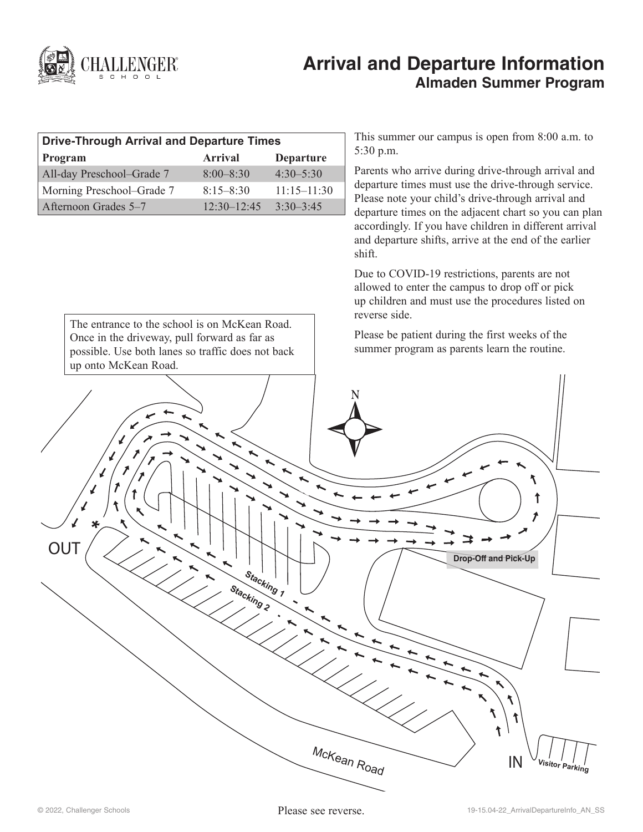

# **Arrival and Departure Information Almaden Summer Program**

| <b>Drive-Through Arrival and Departure Times</b> |                 |                  |
|--------------------------------------------------|-----------------|------------------|
| Program                                          | <b>Arrival</b>  | <b>Departure</b> |
| All-day Preschool-Grade 7                        | $8:00 - 8:30$   | $4.30 - 5.30$    |
| Morning Preschool–Grade 7                        | $8:15 - 8:30$   | $11:15 - 11:30$  |
| Afternoon Grades 5–7                             | $12.30 - 12.45$ | $3.30 - 3.45$    |

The entrance to the school is on McKean Road. Once in the driveway, pull forward as far as

This summer our campus is open from 8:00 a.m. to 5:30 p.m.

Parents who arrive during drive-through arrival and departure times must use the drive-through service. Please note your child's drive-through arrival and departure times on the adjacent chart so you can plan accordingly. If you have children in different arrival and departure shifts, arrive at the end of the earlier shift.

Due to COVID-19 restrictions, parents are not allowed to enter the campus to drop off or pick up children and must use the procedures listed on reverse side.

Please be patient during the first weeks of the summer program as parents learn the routine.